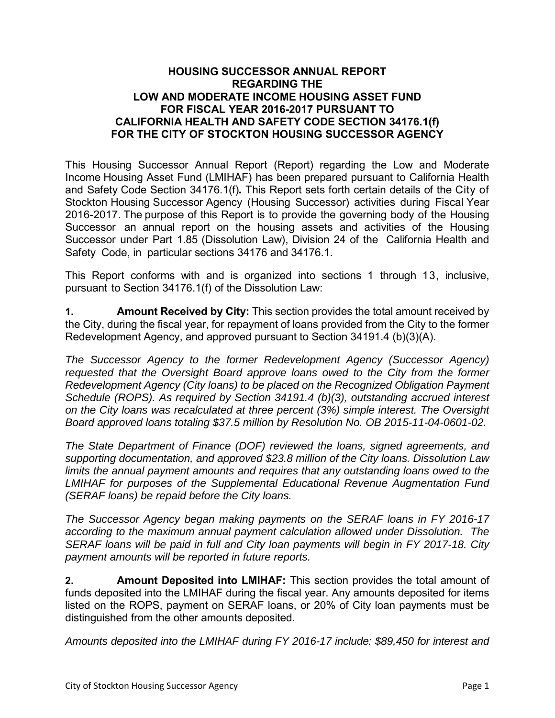## **HOUSING SUCCESSOR ANNUAL REPORT REGARDING THE LOW AND MODERATE INCOME HOUSING ASSET FUND FOR FISCAL YEAR 2016-2017 PURSUANT TO CALIFORNIA HEALTH AND SAFETY CODE SECTION 34176.1(f) FOR THE CITY OF STOCKTON HOUSING SUCCESSOR AGENCY**

This Housing Successor Annual Report (Report) regarding the Low and Moderate Income Housing Asset Fund (LMIHAF) has been prepared pursuant to California Health and Safety Code Section 34176.1(f)*.* This Report sets forth certain details of the City of Stockton Housing Successor Agency (Housing Successor) activities during Fiscal Year 2016-2017. The purpose of this Report is to provide the governing body of the Housing Successor an annual report on the housing assets and activities of the Housing Successor under Part 1.85 (Dissolution Law), Division 24 of the California Health and Safety Code, in particular sections 34176 and 34176.1.

This Report conforms with and is organized into sections 1 through 13, inclusive, pursuant to Section 34176.1(f) of the Dissolution Law:

**1. Amount Received by City:** This section provides the total amount received by the City, during the fiscal year, for repayment of loans provided from the City to the former Redevelopment Agency, and approved pursuant to Section 34191.4 (b)(3)(A).

*The Successor Agency to the former Redevelopment Agency (Successor Agency) requested that the Oversight Board approve loans owed to the City from the former Redevelopment Agency (City loans) to be placed on the Recognized Obligation Payment Schedule (ROPS). As required by Section 34191.4 (b)(3), outstanding accrued interest on the City loans was recalculated at three percent (3%) simple interest. The Oversight Board approved loans totaling \$37.5 million by Resolution No. OB 2015-11-04-0601-02.* 

*The State Department of Finance (DOF) reviewed the loans, signed agreements, and supporting documentation, and approved \$23.8 million of the City loans. Dissolution Law limits the annual payment amounts and requires that any outstanding loans owed to the LMIHAF for purposes of the Supplemental Educational Revenue Augmentation Fund (SERAF loans) be repaid before the City loans.* 

*The Successor Agency began making payments on the SERAF loans in FY 2016-17 according to the maximum annual payment calculation allowed under Dissolution. The SERAF loans will be paid in full and City loan payments will begin in FY 2017-18. City payment amounts will be reported in future reports.* 

**2. Amount Deposited into LMIHAF:** This section provides the total amount of funds deposited into the LMIHAF during the fiscal year. Any amounts deposited for items listed on the ROPS, payment on SERAF loans, or 20% of City loan payments must be distinguished from the other amounts deposited.

*Amounts deposited into the LMIHAF during FY 2016-17 include: \$89,450 for interest and*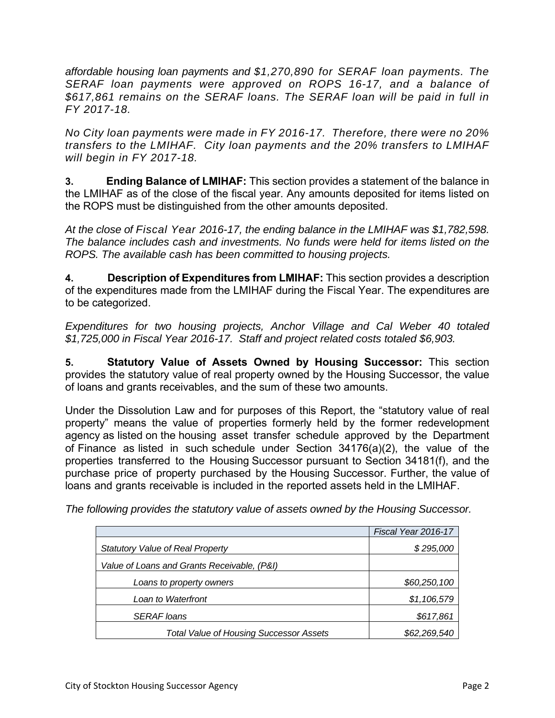*affordable housing loan payments and \$1,270,890 for SERAF loan payments. The SERAF loan payments were approved on ROPS 16-17, and a balance of \$617,861 remains on the SERAF loans. The SERAF loan will be paid in full in FY 2017-18.* 

*No City loan payments were made in FY 2016-17. Therefore, there were no 20% transfers to the LMIHAF. City loan payments and the 20% transfers to LMIHAF will begin in FY 2017-18.* 

**3. Ending Balance of LMIHAF:** This section provides a statement of the balance in the LMIHAF as of the close of the fiscal year. Any amounts deposited for items listed on the ROPS must be distinguished from the other amounts deposited.

*At the close of Fiscal Year 2016-17, the ending balance in the LMIHAF was \$1,782,598. The balance includes cash and investments. No funds were held for items listed on the ROPS. The available cash has been committed to housing projects.* 

**4. Description of Expenditures from LMIHAF:** This section provides a description of the expenditures made from the LMIHAF during the Fiscal Year. The expenditures are to be categorized.

*Expenditures for two housing projects, Anchor Village and Cal Weber 40 totaled \$1,725,000 in Fiscal Year 2016-17. Staff and project related costs totaled \$6,903.* 

**5. Statutory Value of Assets Owned by Housing Successor:** This section provides the statutory value of real property owned by the Housing Successor, the value of loans and grants receivables, and the sum of these two amounts.

Under the Dissolution Law and for purposes of this Report, the "statutory value of real property" means the value of properties formerly held by the former redevelopment agency as listed on the housing asset transfer schedule approved by the Department of Finance as listed in such schedule under Section 34176(a)(2), the value of the properties transferred to the Housing Successor pursuant to Section 34181(f), and the purchase price of property purchased by the Housing Successor. Further, the value of loans and grants receivable is included in the reported assets held in the LMIHAF.

|  |  | The following provides the statutory value of assets owned by the Housing Successor. |
|--|--|--------------------------------------------------------------------------------------|
|--|--|--------------------------------------------------------------------------------------|

|                                                | Fiscal Year 2016-17 |
|------------------------------------------------|---------------------|
| <b>Statutory Value of Real Property</b>        | \$295,000           |
| Value of Loans and Grants Receivable, (P&I)    |                     |
| Loans to property owners                       | \$60,250,100        |
| Loan to Waterfront                             | \$1,106,579         |
| <b>SERAF</b> loans                             | \$617,861           |
| <b>Total Value of Housing Successor Assets</b> | \$62,269,540        |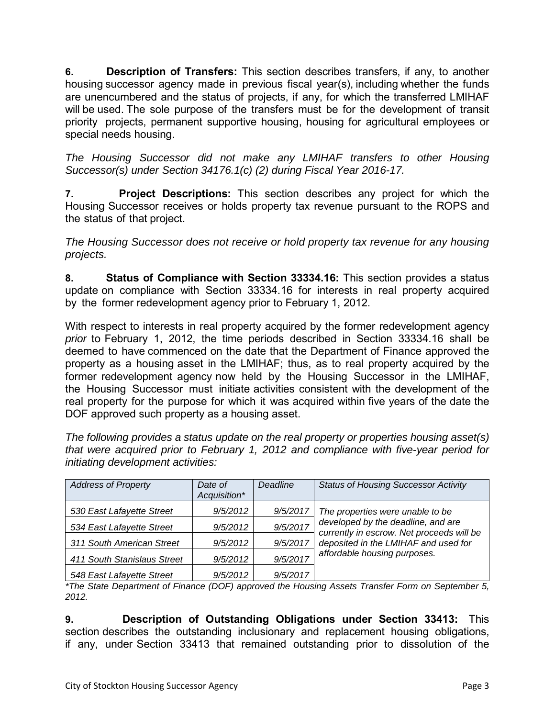**6. Description of Transfers:** This section describes transfers, if any, to another housing successor agency made in previous fiscal year(s), including whether the funds are unencumbered and the status of projects, if any, for which the transferred LMIHAF will be used. The sole purpose of the transfers must be for the development of transit priority projects, permanent supportive housing, housing for agricultural employees or special needs housing.

*The Housing Successor did not make any LMIHAF transfers to other Housing Successor(s) under Section 34176.1(c) (2) during Fiscal Year 2016-17.*

**7. Project Descriptions:** This section describes any project for which the Housing Successor receives or holds property tax revenue pursuant to the ROPS and the status of that project.

*The Housing Successor does not receive or hold property tax revenue for any housing projects.* 

**8. Status of Compliance with Section 33334.16:** This section provides a status update on compliance with Section 33334.16 for interests in real property acquired by the former redevelopment agency prior to February 1, 2012.

With respect to interests in real property acquired by the former redevelopment agency *prior* to February 1, 2012, the time periods described in Section 33334.16 shall be deemed to have commenced on the date that the Department of Finance approved the property as a housing asset in the LMIHAF; thus, as to real property acquired by the former redevelopment agency now held by the Housing Successor in the LMIHAF, the Housing Successor must initiate activities consistent with the development of the real property for the purpose for which it was acquired within five years of the date the DOF approved such property as a housing asset.

*The following provides a status update on the real property or properties housing asset(s) that were acquired prior to February 1, 2012 and compliance with five-year period for initiating development activities:* 

| <b>Address of Property</b>  | Date of<br>Acquisition* | Deadline | <b>Status of Housing Successor Activity</b>                                     |
|-----------------------------|-------------------------|----------|---------------------------------------------------------------------------------|
| 530 East Lafayette Street   | 9/5/2012                | 9/5/2017 | The properties were unable to be                                                |
| 534 East Lafayette Street   | 9/5/2012                | 9/5/2017 | developed by the deadline, and are<br>currently in escrow. Net proceeds will be |
| 311 South American Street   | 9/5/2012                | 9/5/2017 | deposited in the LMIHAF and used for                                            |
| 411 South Stanislaus Street | 9/5/2012                | 9/5/2017 | affordable housing purposes.                                                    |
| 548 East Lafayette Street   | 9/5/2012                | 9/5/2017 |                                                                                 |

*\*The State Department of Finance (DOF) approved the Housing Assets Transfer Form on September 5, 2012.* 

**9. Description of Outstanding Obligations under Section 33413:** This section describes the outstanding inclusionary and replacement housing obligations, if any, under Section 33413 that remained outstanding prior to dissolution of the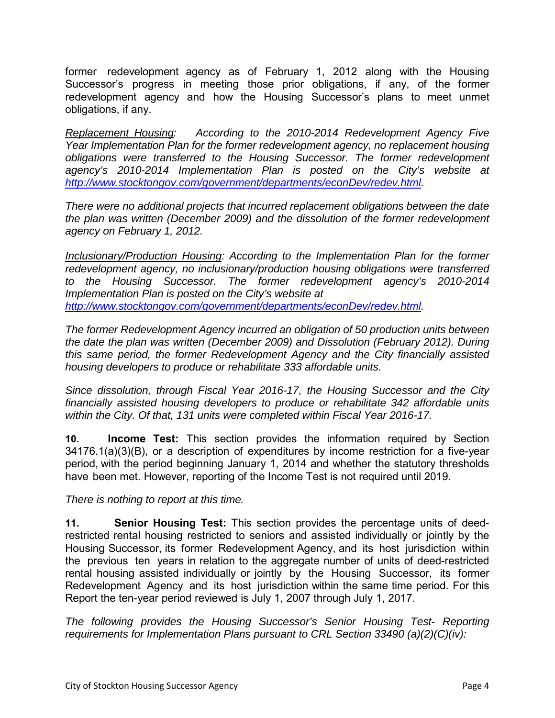former redevelopment agency as of February 1, 2012 along with the Housing Successor's progress in meeting those prior obligations, if any, of the former redevelopment agency and how the Housing Successor's plans to meet unmet obligations, if any.

*Replacement Housing: According to the 2010-2014 Redevelopment Agency Five Year Implementation Plan for the former redevelopment agency, no replacement housing obligations were transferred to the Housing Successor. The former redevelopment agency's 2010-2014 Implementation Plan is posted on the City's website at http://www.stocktongov.com/government/departments/econDev/redev.html.* 

*There were no additional projects that incurred replacement obligations between the date the plan was written (December 2009) and the dissolution of the former redevelopment agency on February 1, 2012.* 

*Inclusionary/Production Housing: According to the Implementation Plan for the former redevelopment agency, no inclusionary/production housing obligations were transferred to the Housing Successor. The former redevelopment agency's 2010-2014 Implementation Plan is posted on the City's website at http://www.stocktongov.com/government/departments/econDev/redev.html.* 

*The former Redevelopment Agency incurred an obligation of 50 production units between the date the plan was written (December 2009) and Dissolution (February 2012). During this same period, the former Redevelopment Agency and the City financially assisted housing developers to produce or rehabilitate 333 affordable units.* 

*Since dissolution, through Fiscal Year 2016-17, the Housing Successor and the City financially assisted housing developers to produce or rehabilitate 342 affordable units within the City. Of that, 131 units were completed within Fiscal Year 2016-17.* 

**10. Income Test:** This section provides the information required by Section 34176.1(a)(3)(B), or a description of expenditures by income restriction for a five-year period, with the period beginning January 1, 2014 and whether the statutory thresholds have been met. However, reporting of the Income Test is not required until 2019.

*There is nothing to report at this time.*

**11. Senior Housing Test:** This section provides the percentage units of deedrestricted rental housing restricted to seniors and assisted individually or jointly by the Housing Successor, its former Redevelopment Agency, and its host jurisdiction within the previous ten years in relation to the aggregate number of units of deed-restricted rental housing assisted individually or jointly by the Housing Successor, its former Redevelopment Agency and its host jurisdiction within the same time period. For this Report the ten-year period reviewed is July 1, 2007 through July 1, 2017.

*The following provides the Housing Successor's Senior Housing Test- Reporting requirements for Implementation Plans pursuant to CRL Section 33490 (a)(2)(C)(iv):*